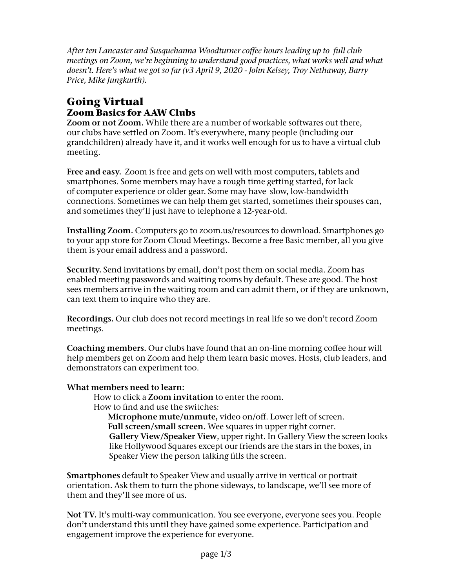*After ten Lancaster and Susquehanna Woodturner coffee hours leading up to full club meetings on Zoom, we're beginning to understand good practices, what works well and what doesn't. Here's what we got so far (v3 April 9, 2020 - John Kelsey, Troy Nethaway, Barry Price, Mike Jungkurth).*

## **Going Virtual Zoom Basics for AAW Clubs**

**Zoom or not Zoom.** While there are a number of workable softwares out there, our clubs have settled on Zoom. It's everywhere, many people (including our grandchildren) already have it, and it works well enough for us to have a virtual club meeting.

**Free and easy.** Zoom is free and gets on well with most computers, tablets and smartphones. Some members may have a rough time getting started, for lack of computer experience or older gear. Some may have slow, low-bandwidth connections. Sometimes we can help them get started, sometimes their spouses can, and sometimes they'll just have to telephone a 12-year-old.

**Installing Zoom.** Computers go to zoom.us/resources to download. Smartphones go to your app store for Zoom Cloud Meetings. Become a free Basic member, all you give them is your email address and a password.

**Security.** Send invitations by email, don't post them on social media. Zoom has enabled meeting passwords and waiting rooms by default. These are good. The host sees members arrive in the waiting room and can admit them, or if they are unknown, can text them to inquire who they are.

**Recordings.** Our club does not record meetings in real life so we don't record Zoom meetings.

**Coaching members.** Our clubs have found that an on-line morning coffee hour will help members get on Zoom and help them learn basic moves. Hosts, club leaders, and demonstrators can experiment too.

## **What members need to learn:**

How to click a **Zoom invitation** to enter the room.

How to find and use the switches:

 **Microphone mute/unmute,** video on/off. Lower left of screen. **Full screen/small screen.** Wee squares in upper right corner. **Gallery View/Speaker View**, upper right. In Gallery View the screen looks like Hollywood Squares except our friends are the stars in the boxes, in Speaker View the person talking fills the screen.

**Smartphones** default to Speaker View and usually arrive in vertical or portrait orientation. Ask them to turn the phone sideways, to landscape, we'll see more of them and they'll see more of us.

**Not TV.** It's multi-way communication. You see everyone, everyone sees you. People don't understand this until they have gained some experience. Participation and engagement improve the experience for everyone.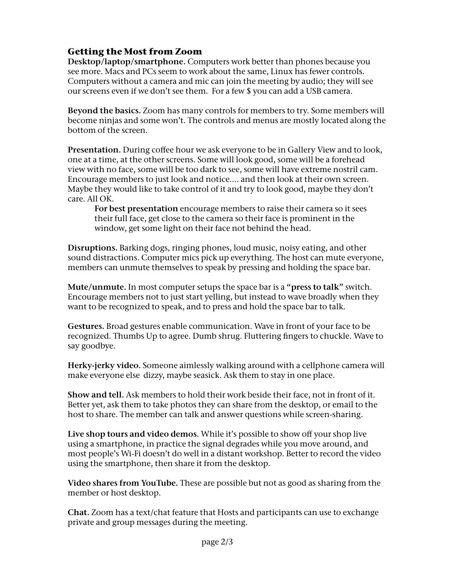## **Getting the Most from Zoom**

**Desktop/laptop/smartphone.** Computers work better than phones because you see more. Macs and PCs seem to work about the same, Linux has fewer controls. Computers without a camera and mic can join the meeting by audio; they will see our screens even if we don't see them. For a few \$ you can add a USB camera.

**Beyond the basics.** Zoom has many controls for members to try. Some members will become ninjas and some won't. The controls and menus are mostly located along the bottom of the screen.

**Presentation.** During coffee hour we ask everyone to be in Gallery View and to look, one at a time, at the other screens. Some will look good, some will be a forehead view with no face, some will be too dark to see, some will have extreme nostril cam. Encourage members to just look and notice.... and then look at their own screen. Maybe they would like to take control of it and try to look good, maybe they don't care. All OK.

**For best presentation** encourage members to raise their camera so it sees their full face, get close to the camera so their face is prominent in the window, get some light on their face not behind the head.

**Disruptions.** Barking dogs, ringing phones, loud music, noisy eating, and other sound distractions. Computer mics pick up everything. The host can mute everyone, members can unmute themselves to speak by pressing and holding the space bar.

**Mute/unmute.** In most computer setups the space bar is a **"press to talk"** switch. Encourage members not to just start yelling, but instead to wave broadly when they want to be recognized to speak, and to press and hold the space bar to talk.

**Gestures.** Broad gestures enable communication. Wave in front of your face to be recognized. Thumbs Up to agree. Dumb shrug. Fluttering fingers to chuckle. Wave to say goodbye.

**Herky-jerky video.** Someone aimlessly walking around with a cellphone camera will make everyone else dizzy, maybe seasick. Ask them to stay in one place.

**Show and tell.** Ask members to hold their work beside their face, not in front of it. Better yet, ask them to take photos they can share from the desktop, or email to the host to share. The member can talk and answer questions while screen-sharing.

**Live shop tours and video demos**. While it's possible to show off your shop live using a smartphone, in practice the signal degrades while you move around, and most people's Wi-Fi doesn't do well in a distant workshop. Better to record the video using the smartphone, then share it from the desktop.

**Video shares from YouTube.** These are possible but not as good as sharing from the member or host desktop.

**Chat.** Zoom has a text/chat feature that Hosts and participants can use to exchange private and group messages during the meeting.